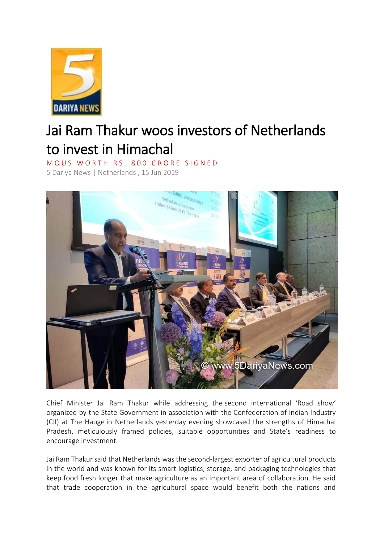

## Jai Ram Thakur woos investors of Netherlands to invest in Himachal

MOUS WORTH RS. 800 CRORE SIGNED

5 Dariya News | Netherlands , 15 Jun 2019



Chief Minister Jai Ram Thakur while addressing the second international 'Road show' organized by the State Government in association with the Confederation of Indian Industry (CII) at The Hauge in Netherlands yesterday evening showcased the strengths of Himachal Pradesh, meticulously framed policies, suitable opportunities and State's readiness to encourage investment.

Jai Ram Thakur said that Netherlands was the second-largest exporter of agricultural products in the world and was known for its smart logistics, storage, and packaging technologies that keep food fresh longer that make agriculture as an important area of collaboration. He said that trade cooperation in the agricultural space would benefit both the nations and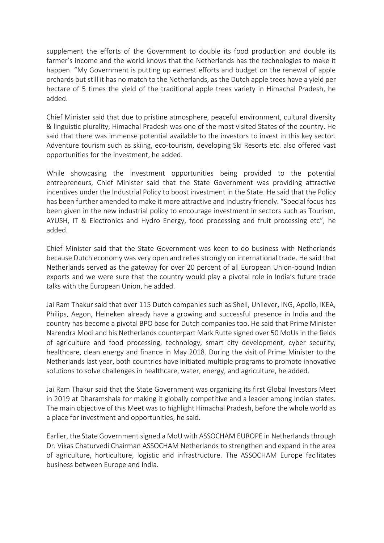supplement the efforts of the Government to double its food production and double its farmer's income and the world knows that the Netherlands has the technologies to make it happen. "My Government is putting up earnest efforts and budget on the renewal of apple orchards but still it has no match to the Netherlands, as the Dutch apple trees have a yield per hectare of 5 times the yield of the traditional apple trees variety in Himachal Pradesh, he added.

Chief Minister said that due to pristine atmosphere, peaceful environment, cultural diversity & linguistic plurality, Himachal Pradesh was one of the most visited States of the country. He said that there was immense potential available to the investors to invest in this key sector. Adventure tourism such as skiing, eco-tourism, developing Ski Resorts etc. also offered vast opportunities for the investment, he added.

While showcasing the investment opportunities being provided to the potential entrepreneurs, Chief Minister said that the State Government was providing attractive incentives under the Industrial Policy to boost investment in the State. He said that the Policy has been further amended to make it more attractive and industry friendly. "Special focus has been given in the new industrial policy to encourage investment in sectors such as Tourism, AYUSH, IT & Electronics and Hydro Energy, food processing and fruit processing etc", he added.

Chief Minister said that the State Government was keen to do business with Netherlands because Dutch economy was very open and relies strongly on international trade. He said that Netherlands served as the gateway for over 20 percent of all European Union-bound Indian exports and we were sure that the country would play a pivotal role in India's future trade talks with the European Union, he added.

Jai Ram Thakur said that over 115 Dutch companies such as Shell, Unilever, ING, Apollo, IKEA, Philips, Aegon, Heineken already have a growing and successful presence in India and the country has become a pivotal BPO base for Dutch companies too. He said that Prime Minister Narendra Modi and his Netherlands counterpart Mark Rutte signed over 50 MoUs in the fields of agriculture and food processing, technology, smart city development, cyber security, healthcare, clean energy and finance in May 2018. During the visit of Prime Minister to the Netherlands last year, both countries have initiated multiple programs to promote innovative solutions to solve challenges in healthcare, water, energy, and agriculture, he added.

Jai Ram Thakur said that the State Government was organizing its first Global Investors Meet in 2019 at Dharamshala for making it globally competitive and a leader among Indian states. The main objective of this Meet was to highlight Himachal Pradesh, before the whole world as a place for investment and opportunities, he said.

Earlier, the State Government signed a MoU with ASSOCHAM EUROPE in Netherlands through Dr. Vikas Chaturvedi Chairman ASSOCHAM Netherlands to strengthen and expand in the area of agriculture, horticulture, logistic and infrastructure. The ASSOCHAM Europe facilitates business between Europe and India.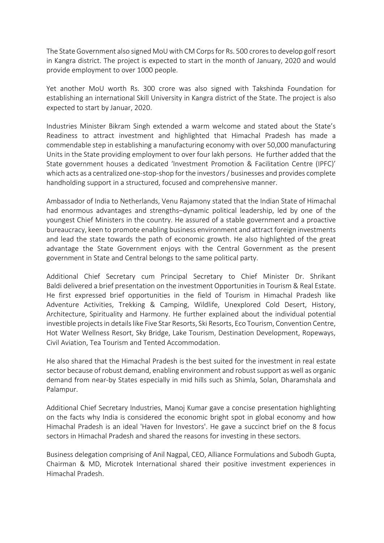The State Government also signed MoU with CM Corps for Rs. 500 croresto develop golf resort in Kangra district. The project is expected to start in the month of January, 2020 and would provide employment to over 1000 people.

Yet another MoU worth Rs. 300 crore was also signed with Takshinda Foundation for establishing an international Skill University in Kangra district of the State. The project is also expected to start by Januar, 2020.

Industries Minister Bikram Singh extended a warm welcome and stated about the State's Readiness to attract investment and highlighted that Himachal Pradesh has made a commendable step in establishing a manufacturing economy with over 50,000 manufacturing Units in the State providing employment to over four lakh persons. He further added that the State government houses a dedicated 'Investment Promotion & Facilitation Centre (IPFC)' which acts as a centralized one-stop-shop for the investors / businesses and provides complete handholding support in a structured, focused and comprehensive manner.

Ambassador of India to Netherlands, Venu Rajamony stated that the Indian State of Himachal had enormous advantages and strengths–dynamic political leadership, led by one of the youngest Chief Ministers in the country. He assured of a stable government and a proactive bureaucracy, keen to promote enabling business environment and attract foreign investments and lead the state towards the path of economic growth. He also highlighted of the great advantage the State Government enjoys with the Central Government as the present government in State and Central belongs to the same political party.

Additional Chief Secretary cum Principal Secretary to Chief Minister Dr. Shrikant Baldi delivered a brief presentation on the investment Opportunities in Tourism & Real Estate. He first expressed brief opportunities in the field of Tourism in Himachal Pradesh like Adventure Activities, Trekking & Camping, Wildlife, Unexplored Cold Desert, History, Architecture, Spirituality and Harmony. He further explained about the individual potential investible projects in details like Five Star Resorts, Ski Resorts, Eco Tourism, Convention Centre, Hot Water Wellness Resort, Sky Bridge, Lake Tourism, Destination Development, Ropeways, Civil Aviation, Tea Tourism and Tented Accommodation.

He also shared that the Himachal Pradesh is the best suited for the investment in real estate sector because of robust demand, enabling environment and robust support as well as organic demand from near-by States especially in mid hills such as Shimla, Solan, Dharamshala and Palampur.

Additional Chief Secretary Industries, Manoj Kumar gave a concise presentation highlighting on the facts why India is considered the economic bright spot in global economy and how Himachal Pradesh is an ideal 'Haven for Investors'. He gave a succinct brief on the 8 focus sectors in Himachal Pradesh and shared the reasons for investing in these sectors.

Business delegation comprising of Anil Nagpal, CEO, Alliance Formulations and Subodh Gupta, Chairman & MD, Microtek International shared their positive investment experiences in Himachal Pradesh.